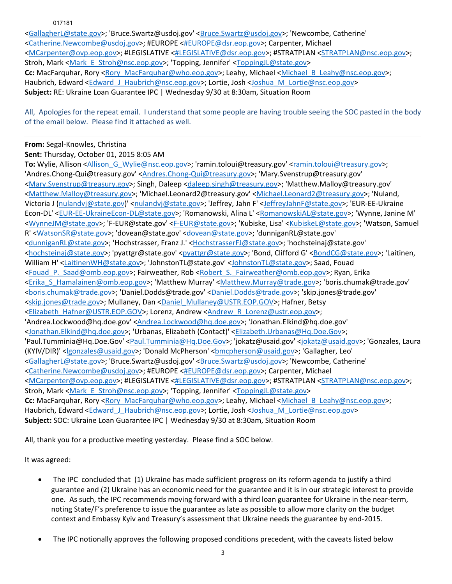017181

<GallagherL@state.gov>; 'Bruce.Swartz@usdoj.gov' <Bruce.Swartz@usdoj.gov>; 'Newcombe, Catherine' <Catherine.Newcombe@usdoj.gov>; #EUROPE <#EUROPE@dsr.eop.gov>; Carpenter, Michael <MCarpenter@ovp.eop.gov>; #LEGISLATIVE <#LEGISLATIVE@dsr.eop.gov>; #STRATPLAN <STRATPLAN@nsc.eop.gov>; Stroh, Mark <Mark\_E\_Stroh@nsc.eop.gov>; 'Topping, Jennifer' <ToppingJL@state.gov> Cc: MacFarquhar, Rory <Rory\_MacFarquhar@who.eop.gov>; Leahy, Michael <Michael B\_Leahy@nsc.eop.gov>; Haubrich, Edward <Edward J\_Haubrich@nsc.eop.gov>; Lortie, Josh <Joshua\_M\_Lortie@nsc.eop.gov> **Subject:** RE: Ukraine Loan Guarantee IPC | Wednesday 9/30 at 8:30am, Situation Room

All, Apologies for the repeat email. I understand that some people are having trouble seeing the SOC pasted in the body of the email below. Please find it attached as well.

## **From:** Segal‐Knowles, Christina

**Sent:** Thursday, October 01, 2015 8:05 AM

**To:** Wylie, Allison <Allison G\_Wylie@nsc.eop.gov>; 'ramin.toloui@treasury.gov' <ramin.toloui@treasury.gov>; 'Andres.Chong‐Qui@treasury.gov' <Andres.Chong‐Qui@treasury.gov>; 'Mary.Svenstrup@treasury.gov' <Mary.Svenstrup@treasury.gov>; Singh, Daleep <daleep.singh@treasury.gov>; 'Matthew.Malloy@treasury.gov' <Matthew.Malloy@treasury.gov>; 'Michael.Leonard2@treasury.gov' <Michael.Leonard2@treasury.gov>; 'Nuland, Victoria J (nulandvj@state.gov)' <nulandvj@state.gov>; 'Jeffrey, Jahn F' <JeffreyJahnF@state.gov>; 'EUR‐EE‐Ukraine Econ‐DL' <EUR‐EE‐UkraineEcon‐DL@state.gov>; 'Romanowski, Alina L' <RomanowskiAL@state.gov>; 'Wynne, Janine M' <WynneJM@state.gov>; 'F‐EUR@state.gov' <F‐EUR@state.gov>; 'Kubiske, Lisa' <KubiskeL@state.gov>; 'Watson, Samuel R' <WatsonSR@state.gov>; 'dovean@state.gov' <dovean@state.gov>; 'dunniganRL@state.gov' <dunniganRL@state.gov>; 'Hochstrasser, Franz J.' <HochstrasserFJ@state.gov>; 'hochsteinaj@state.gov' <hochsteinaj@state.gov>; 'pyattgr@state.gov' <pyattgr@state.gov>; 'Bond, Clifford G' <BondCG@state.gov>; 'Laitinen, William H' <LaitinenWH@state.gov>; 'JohnstonTL@state.gov' <JohnstonTL@state.gov>; Saad, Fouad <Fouad\_P.\_Saad@omb.eop.gov>; Fairweather, Rob <Robert\_S.\_Fairweather@omb.eop.gov>; Ryan, Erika <Erika\_S\_Hamalainen@omb.eop.gov>; 'Matthew Murray' <Matthew.Murray@trade.gov>; 'boris.chumak@trade.gov' <boris.chumak@trade.gov>; 'Daniel.Dodds@trade.gov' <Daniel.Dodds@trade.gov>; 'skip.jones@trade.gov' <skip.jones@trade.gov>; Mullaney, Dan <Daniel\_Mullaney@USTR.EOP.GOV>; Hafner, Betsy <Elizabeth\_Hafner@USTR.EOP.GOV>; Lorenz, Andrew <Andrew\_R\_Lorenz@ustr.eop.gov>; 'Andrea.Lockwood@hq.doe.gov' <Andrea.Lockwood@hq.doe.gov>; 'Jonathan.Elkind@hq.doe.gov' <Jonathan.Elkind@hq.doe.gov>; 'Urbanas, Elizabeth (Contact)' <Elizabeth.Urbanas@Hq.Doe.Gov>; 'Paul.Tumminia@Hq.Doe.Gov' <Paul.Tumminia@Hq.Doe.Gov>; 'jokatz@usaid.gov' <jokatz@usaid.gov>; 'Gonzales, Laura (KYIV/DIR)' <lgonzales@usaid.gov>; 'Donald McPherson' <bmcpherson@usaid.gov>; 'Gallagher, Leo' <GallagherL@state.gov>; 'Bruce.Swartz@usdoj.gov' <Bruce.Swartz@usdoj.gov>; 'Newcombe, Catherine' <Catherine.Newcombe@usdoj.gov>; #EUROPE <#EUROPE@dsr.eop.gov>; Carpenter, Michael <MCarpenter@ovp.eop.gov>; #LEGISLATIVE <#LEGISLATIVE@dsr.eop.gov>; #STRATPLAN <STRATPLAN@nsc.eop.gov>; Stroh, Mark <Mark\_E\_Stroh@nsc.eop.gov>; 'Topping, Jennifer' <ToppingJL@state.gov> Cc: MacFarquhar, Rory <Rory\_MacFarquhar@who.eop.gov>; Leahy, Michael <Michael B\_Leahy@nsc.eop.gov>; Haubrich, Edward <Edward J\_Haubrich@nsc.eop.gov>; Lortie, Josh <Joshua\_M\_Lortie@nsc.eop.gov> **Subject:** SOC: Ukraine Loan Guarantee IPC | Wednesday 9/30 at 8:30am, Situation Room

All, thank you for a productive meeting yesterday. Please find a SOC below.

It was agreed:

- The IPC concluded that (1) Ukraine has made sufficient progress on its reform agenda to justify a third guarantee and (2) Ukraine has an economic need for the guarantee and it is in our strategic interest to provide one. As such, the IPC recommends moving forward with a third loan guarantee for Ukraine in the near‐term, noting State/F's preference to issue the guarantee as late as possible to allow more clarity on the budget context and Embassy Kyiv and Treasury's assessment that Ukraine needs the guarantee by end‐2015.
- The IPC notionally approves the following proposed conditions precedent, with the caveats listed below